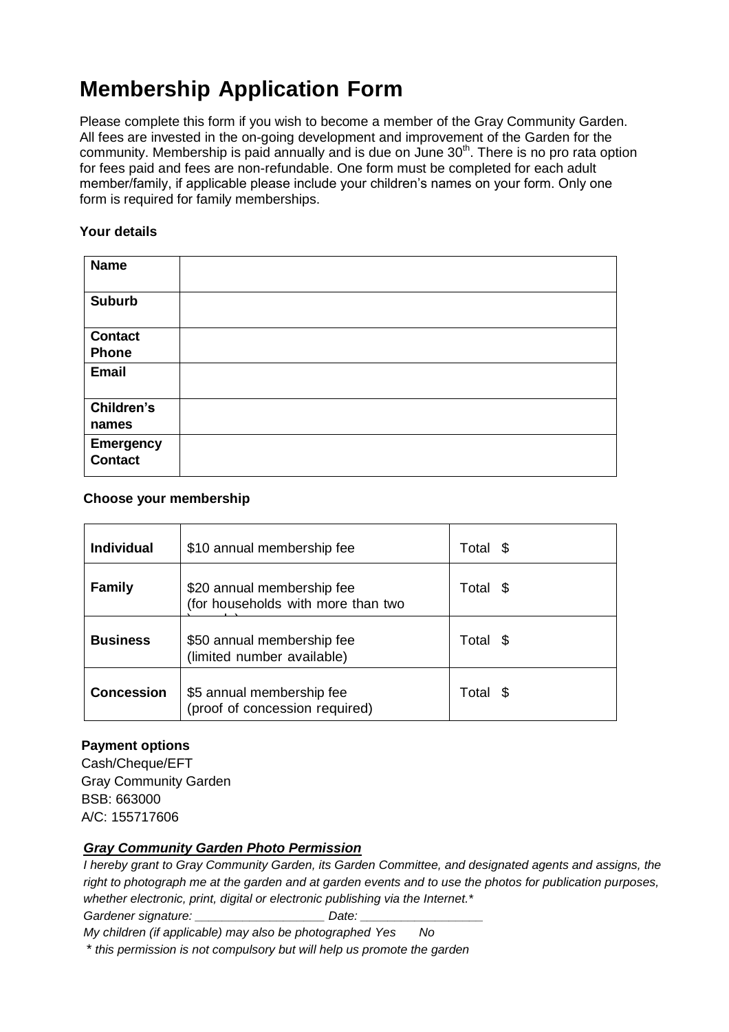# **Membership Application Form**

Please complete this form if you wish to become a member of the Gray Community Garden. All fees are invested in the on-going development and improvement of the Garden for the community. Membership is paid annually and is due on June  $30<sup>th</sup>$ . There is no pro rata option for fees paid and fees are non-refundable. One form must be completed for each adult member/family, if applicable please include your children's names on your form. Only one form is required for family memberships.

## **Your details**

| <b>Name</b>                        |  |
|------------------------------------|--|
| <b>Suburb</b>                      |  |
| <b>Contact</b><br><b>Phone</b>     |  |
| Email                              |  |
| Children's<br>names                |  |
| <b>Emergency</b><br><b>Contact</b> |  |

## **Choose your membership**

| <b>Individual</b> | \$10 annual membership fee                                       | Total \$ |
|-------------------|------------------------------------------------------------------|----------|
| <b>Family</b>     | \$20 annual membership fee<br>(for households with more than two | Total \$ |
| <b>Business</b>   | \$50 annual membership fee<br>(limited number available)         | Total \$ |
| <b>Concession</b> | \$5 annual membership fee<br>(proof of concession required)      | Total \$ |

## **Payment options**

Cash/Cheque/EFT Gray Community Garden BSB: 663000 A/C: 155717606

## *Gray Community Garden Photo Permission*

*I hereby grant to Gray Community Garden, its Garden Committee, and designated agents and assigns, the right to photograph me at the garden and at garden events and to use the photos for publication purposes, whether electronic, print, digital or electronic publishing via the Internet.\** Gardener signature: **Example 20 Figure 20 Figure 20 Figure 20 Figure 20 Figure 20 Figure 20 Figure 20 Figure 20 Figure 20 Figure 20 Figure 20 Figure 20 Figure 20 Figure 20 Figure 20 Figure 20 Figure 20 Figure 20 Figure 20** 

*My children (if applicable) may also be photographed Yes No*

*\* this permission is not compulsory but will help us promote the garden*